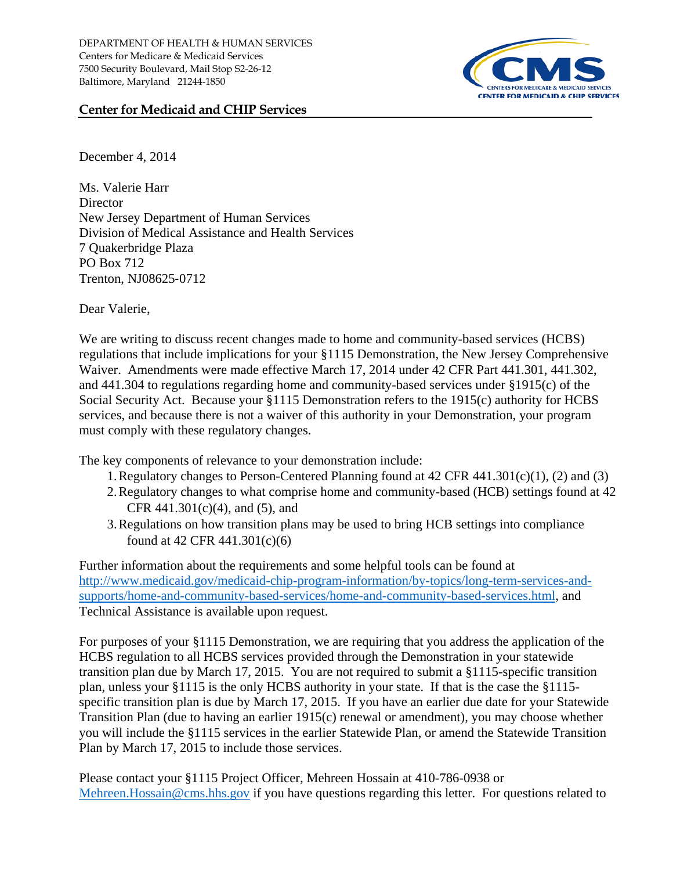

## **Center for Medicaid and CHIP Services**

December 4, 2014

Ms. Valerie Harr **Director** New Jersey Department of Human Services Division of Medical Assistance and Health Services 7 Quakerbridge Plaza PO Box 712 Trenton, NJ08625‐0712

Dear Valerie,

We are writing to discuss recent changes made to home and community-based services (HCBS) regulations that include implications for your §1115 Demonstration, the New Jersey Comprehensive Waiver. Amendments were made effective March 17, 2014 under 42 CFR Part 441.301, 441.302, and 441.304 to regulations regarding home and community-based services under §1915(c) of the Social Security Act. Because your §1115 Demonstration refers to the 1915(c) authority for HCBS services, and because there is not a waiver of this authority in your Demonstration, your program must comply with these regulatory changes.

The key components of relevance to your demonstration include:

- 1.Regulatory changes to Person-Centered Planning found at 42 CFR 441.301(c)(1), (2) and (3)
- 2.Regulatory changes to what comprise home and community-based (HCB) settings found at 42 CFR  $441.301(c)(4)$ , and (5), and
- 3.Regulations on how transition plans may be used to bring HCB settings into compliance found at 42 CFR 441.301(c)(6)

Further information about the requirements and some helpful tools can be found at [http://www.medicaid.gov/medicaid-chip-program-information/by-topics/long-term-services-and](http://www.medicaid.gov/medicaid-chip-program-information/by-topics/long-term-services-and-supports/home-and-community-based-services/home-and-community-based-services.html)[supports/home-and-community-based-services/home-and-community-based-services.html,](http://www.medicaid.gov/medicaid-chip-program-information/by-topics/long-term-services-and-supports/home-and-community-based-services/home-and-community-based-services.html) and Technical Assistance is available upon request.

For purposes of your §1115 Demonstration, we are requiring that you address the application of the HCBS regulation to all HCBS services provided through the Demonstration in your statewide transition plan due by March 17, 2015. You are not required to submit a §1115-specific transition plan, unless your §1115 is the only HCBS authority in your state. If that is the case the §1115 specific transition plan is due by March 17, 2015. If you have an earlier due date for your Statewide Transition Plan (due to having an earlier 1915(c) renewal or amendment), you may choose whether you will include the §1115 services in the earlier Statewide Plan, or amend the Statewide Transition Plan by March 17, 2015 to include those services.

Please contact your §1115 Project Officer, Mehreen Hossain at 410-786-0938 or [Mehreen.Hossain@cms.hhs.gov](mailto:Mehreen.Hossain@cms.hhs.gov) if you have questions regarding this letter. For questions related to